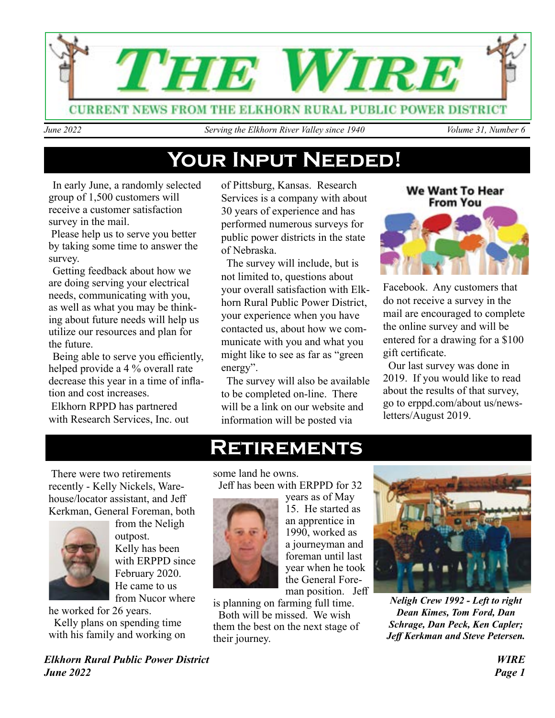

*June 2022* Serving the Elkhorn River Valley since 1940 Volume 31, Number 6

### **Your Input Needed!**

In early June, a randomly selected group of 1,500 customers will receive a customer satisfaction survey in the mail.

 Please help us to serve you better by taking some time to answer the survey.

Getting feedback about how we are doing serving your electrical needs, communicating with you, as well as what you may be thinking about future needs will help us utilize our resources and plan for the future.

Being able to serve you efficiently, helped provide a 4 % overall rate decrease this year in a time of inflation and cost increases.

 Elkhorn RPPD has partnered with Research Services, Inc. out

of Pittsburg, Kansas. Research Services is a company with about 30 years of experience and has performed numerous surveys for public power districts in the state of Nebraska.

 The survey will include, but is not limited to, questions about your overall satisfaction with Elkhorn Rural Public Power District, your experience when you have contacted us, about how we communicate with you and what you might like to see as far as "green energy".

 The survey will also be available to be completed on-line. There will be a link on our website and information will be posted via

### **We Want To Hear From You**



Facebook. Any customers that do not receive a survey in the mail are encouraged to complete the online survey and will be entered for a drawing for a \$100 gift certificate.

 Our last survey was done in 2019. If you would like to read about the results of that survey, go to erppd.com/about us/newsletters/August 2019.

 There were two retirements recently - Kelly Nickels, Warehouse/locator assistant, and Jeff Kerkman, General Foreman, both



from the Neligh outpost. Kelly has been with ERPPD since February 2020. He came to us from Nucor where

he worked for 26 years.

 Kelly plans on spending time with his family and working on

*Elkhorn Rural Public Power District WIRE June 2022 Page 1*

### **Retirements**

some land he owns. Jeff has been with ERPPD for 32



years as of May 15. He started as an apprentice in 1990, worked as a journeyman and foreman until last year when he took the General Foreman position. Jeff



 Both will be missed. We wish them the best on the next stage of their journey.



*Neligh Crew 1992 - Left to right Dean Kimes, Tom Ford, Dan Schrage, Dan Peck, Ken Capler; Jeff Kerkman and Steve Petersen.*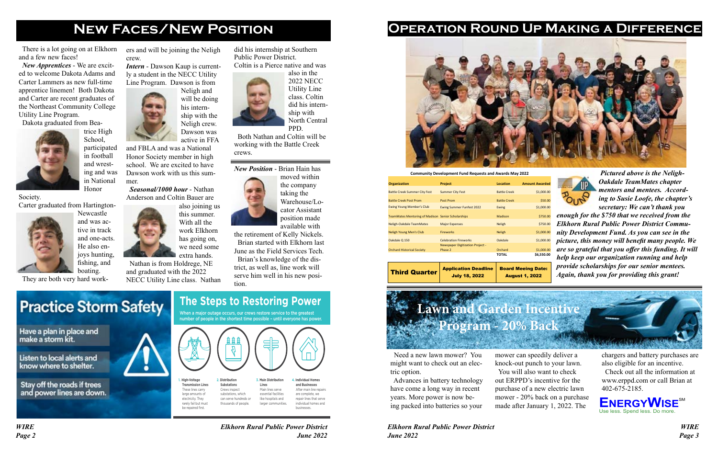*WIRE Elkhorn Rural Public Power District Page 2 June 2022* *Elkhorn Rural Public Power District WIRE June 2022 Page 3*

### **New Faces/New Position Operation Round Up Making a Difference**



 There is a lot going on at Elkhorn and a few new faces!

 *New Apprentices* - We are excited to welcome Dakota Adams and Carter Lammers as new full-time apprentice linemen! Both Dakota and Carter are recent graduates of the Northeast Community College Utility Line Program.

Dakota graduated from Bea-



trice High School, participated in football and wrest-

ing and was in National Honor

Society.

Carter graduated from Hartington-



Newcastle and was active in track and one-acts. He also enjoys hunting, fishing, and boating.

They are both very hard work-

 Need a new lawn mower? You might want to check out an electric option.

 Advances in battery technology have come a long way in recent years. More power is now being packed into batteries so your

did his internship at Southern

Public Power District.

Coltin is a Pierce native and was also in the 2022 NECC Utility Line class. Coltin did his internship with

North Central

PPD. Both Nathan and Coltin will be working with the Battle Creek crews.

#### *New Position* - Brian Hain has

moved within the company taking the Warehouse/Locator Assistant position made available with

the retirement of Kelly Nickels. Brian started with Elkhorn last June as the Field Services Tech. Brian's knowledge of the district, as well as, line work will serve him well in his new position.

# **Practice Storm Safety**

Have a plan in place and make a storm kit.

Listen to local alerts and know where to shelter.

Stay off the roads if trees and power lines are down.



### **The Steps to Restoring Power**

 *Pictured above is the Neligh-Oakdale TeamMates chapter mentors and mentees. According to Susie Loofe, the chapter's secretary: We can't thank you* 

*enough for the \$750 that we received from the Elkhorn Rural Public Power District Community Development Fund. As you can see in the picture, this money will benefit many people. We are so grateful that you offer this funding. It will help keep our organization running and help provide scholarships for our senior mentees. Again, thank you for providing this grant!* 



NECC Utility Line class. Nathan **The Steps to Restoring Power** 

When a major outage occurs, our crews restore service to the greatest number of people in the shortest time possible - until everyone has power

| <b>Organization</b>                                       | <b>Project</b>                   | <b>Location</b>     | <b>Amount Awarded</b>     |
|-----------------------------------------------------------|----------------------------------|---------------------|---------------------------|
| <b>Battle Creek Summer City Fest</b>                      | <b>Summer City Fest</b>          | <b>Battle Creek</b> | \$1,000.00                |
| <b>Battle Creek Post Prom</b>                             | Post Prom                        | <b>Battle Creek</b> | \$50.00                   |
| <b>Ewing Young Member's Club</b>                          | <b>Ewing Summer Funfest 2022</b> | Ewing               | \$1,000.00                |
| <b>TeamMates Mentoring of Madison Senior Scholarships</b> |                                  | Madison             | \$750.00                  |
| Neligh-Oakdale TeamMates                                  | <b>Major Expenses</b>            | <b>Neligh</b>       | \$750.00                  |
| <b>Neligh Young Men's Club</b>                            | <b>Fireworks</b>                 | <b>Neligh</b>       | \$1,000.00                |
| Oakdale Q 150                                             | <b>Celebration Fireworks</b>     | Oakdale             | \$1,000.00                |
|                                                           | Newspaper Digitization Project - |                     |                           |
| <b>Orchard Historical Society</b>                         | Phase 2                          | Orchard<br>TOTAL    | \$1,000.00<br>\$6,550.00  |
|                                                           |                                  |                     |                           |
| <b>Third Quarter</b>                                      | <b>Application Deadline</b>      |                     | <b>Board Meeing Date:</b> |

July 18, 2022

**Community Development Fund Requests and Awards May 2022**

| nount Awarded |
|---------------|
| \$1,000.00    |
| \$50.00       |
| \$1,000.00    |
| \$750.00      |
| \$750.00      |
| \$1,000.00    |
| \$1,000.00    |
| \$1,000.00    |
| \$6,550.00    |
| Date:<br>ing  |

August 1, 2022





**Lawn and Garden Incentive Program - 20% Back**

> mower can speedily deliver a knock-out punch to your lawn. You will also want to check out ERPPD's incentive for the purchase of a new electric lawn mower - 20% back on a purchase made after January 1, 2022. The

chargers and battery purchases are also eligible for an incentive.

 Check out all the information at www.erppd.com or call Brian at 402-675-2185.

ers and will be joining the Neligh crew.

*Intern* - Dawson Kaup is currently a student in the NECC Utility Line Program. Dawson is from



ship with the Neligh crew.

and FBLA and was a National Honor Society member in high school. We are excited to have Dawson work with us this summer.

 *Seasonal/1000 hour* - Nathan Anderson and Coltin Bauer are also joining us



has going on, we need some extra hands. Nathan is from Holdrege, NE and graduated with the 2022